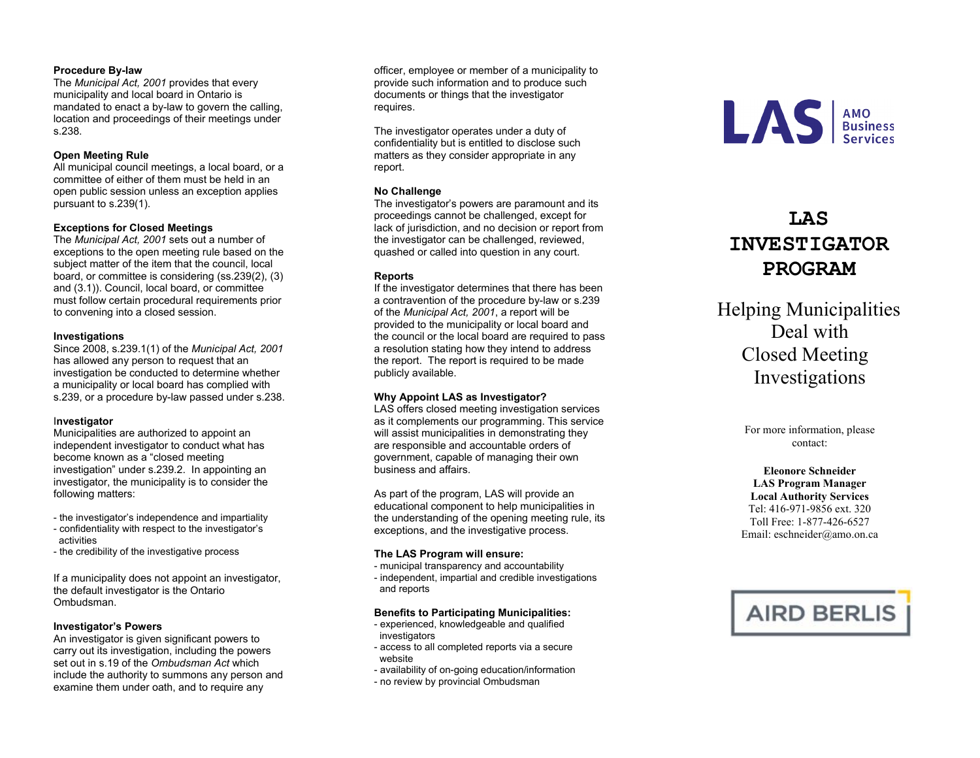## **Procedure By -law**

The *Municipal Act, 2001* provides that every municipality and local board in Ontario is mandated to enact a by -law to govern the calling, location and proceedings of their meetings under s.238.

### **Open Meeting Rule**

All municipal council meetings, a local board, or a committee of either of them must be held in an open public session unless an exception applies pursuant to s.239(1).

### **Exceptions for Closed Meetings**

The *Municipal Act, 2001* sets out a number of exceptions to the open meeting rule based on the subject matter of the item that the council, local board, or committee is considering (ss.239(2), (3) and (3.1)). Council, local board, or committee must follow certain procedural requirements prior to convening into a closed session.

#### **Investigations**

Since 2008, s.239.1(1) of the *Municipal Act, 2001* has allowed any person to request that an investigation be conducted to determine whether a municipality or local board has complied with s.239, or a procedure by -law passed under s.238.

# I**nvestigator**

Municipalities are authorized to appoint an independent investigator to conduct what has become known as a "closed meeting investigation" under s.239.2. In appointing an investigator, the municipality is to consider the following matters:

- the investigator's independence and impartiality
- confidentiality with respect to the investigator's activities
- the credibility of the investigative process

If a municipality does not appoint an investigator, the default investigator is the Ontario Ombudsman.

#### **Investigator's Powers**

An investigator is given significant powers to carry out its investigation, including the powers set out in s.19 of the *Ombudsman Act* which include the authority to summons any person and examine them under oath, and to require any

officer, employee or member of a municipality to provide such information and to produce such documents or things that the investigator requires.

The investigator operates under a duty of confidentiality but is entitled to disclose such matters as they consider appropriate in any report.

# **No Challenge**

The investigator's powers are paramount and its proceedings cannot be challenged, except for lack of jurisdiction, and no decision or report from the investigator can be challenged, reviewed, quashed or called into question in any court.

# **Reports**

If the investigator determines that there has been a contravention of the procedure by -law or s.239 of the *Municipal Act, 2001*, a report will be provided to the municipality or local board and the council or the local board are required to pass a resolution stating how they intend to address the report. The report is required to be made publicly available.

# **Why Appoint LAS as Investigator?**

LAS offers closed meeting investigation services as it complements our programming. This service will assist municipalities in demonstrating they are responsible and accountable orders of government, capable of managing their own business and affairs.

As part of the program, LAS will provide an educational component to help municipalities in the understanding of the opening meeting rule, its exceptions, and the investigative process.

#### **The LAS Program will ensure:**

- municipal transparency and accountability

- independent, impartial and credible investigations and reports

#### **Benefits to Participating Municipalities:**

- experienced, knowledgeable and qualified investigators
- access to all completed reports via a secur e website
- availability of on-going education/information
- no review by provincial Ombudsman



# **LAS INVESTIGATOR PROGRAM**

Helping Municipalities Deal with Closed Meeting Investigations

> For more information, please contact:

**Eleonore Schneider LAS Program Manager Local Authority Services**  Tel: 416-971-9856 ext. 320 Toll Free: 1-877-426-6527 Email: esch neider@amo.on.ca